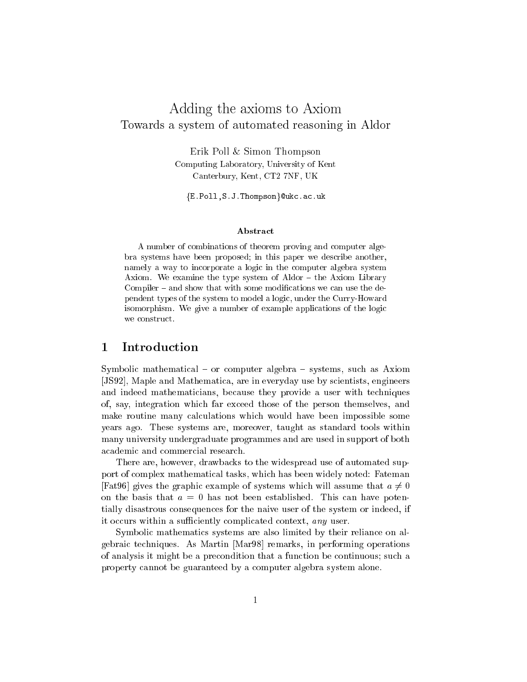# Adding the axioms to Axiom Towards a system of automated reasoning in Aldor

Erik Poll & Simon Thompson Computing Laboratory, University of Kent Canterbury, Kent, CT2 7NF, UK

fE.Poll,S.J.Thompsong@ukc.ac.uk

### Abstract

A number of combinations of theorem proving and computer algebra systems have been proposed; in this paper we describe another, namely a way to incorporate a logic in the computer algebra system Axiom. We examine the type system of  $Aldor - the Axiom Library$ Compiler  $-$  and show that with some modifications we can use the dependent types of the system to model a logic, under the Curry-Howard isomorphism. We give a number of example applications of the logic

#### **Introduction** 1

Symbolic mathematical  $-$  or computer algebra  $-$  systems, such as Axiom [JS92], Maple and Mathematica, are in everyday use by scientists, engineers and indeed mathematicians, because they provide a user with techniques of, say, integration which far exceed those of the person themselves, and make routine many calculations which would have been impossible some years ago. These systems are, moreover, taught as standard tools within many university undergraduate programmes and are used in support of both academic and commercial research.

There are, however, drawbacks to the widespread use of automated support of complex mathematical tasks, which has been widely noted: Fateman [Fat96] gives the graphic example of systems which will assume that  $a \neq 0$ on the basis that  $a = 0$  has not been established. This can have potentially disastrous consequences for the naive user of the system or indeed, if it occurs within a sufficiently complicated context, any user.

Symbolic mathematics systems are also limited by their reliance on algebraic techniques. As Martin [Mar98] remarks, in performing operations of analysis it might be a precondition that a function be continuous; such a property cannot be guaranteed by a computer algebra system alone.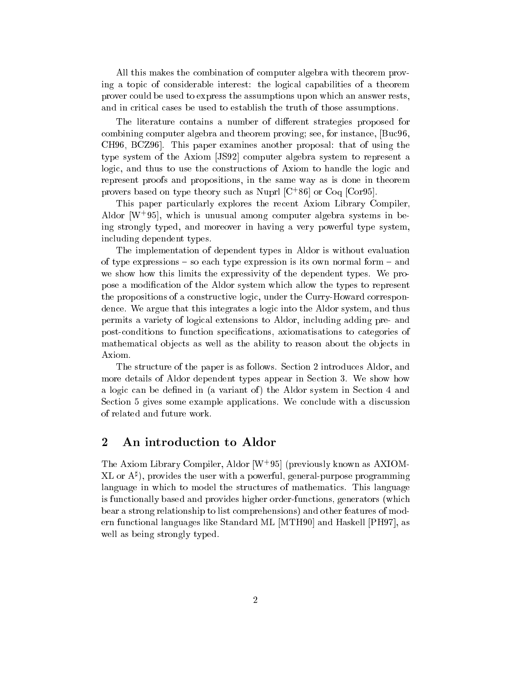All this makes the combination of computer algebra with theorem proving a topic of considerable interest: the logical capabilities of a theorem prover could be used to express the assumptions upon which an answer rests, and in critical cases be used to establish the truth of those assumptions.

The literature contains a number of different strategies proposed for combining computer algebra and theorem proving; see, for instance, [Buc96, CH96, BCZ96]. This paper examines another proposal: that of using the type system of the Axiom [JS92] computer algebra system to represent a logic, and thus to use the constructions of Axiom to handle the logic and represent proofs and propositions, in the same way as is done in theorem provers based on type theory such as Nuprl [C<sup>+</sup> 86] or Coq [Cor95].

This paper particularly explores the recent Axiom Library Compiler, Aldor [W<sup>+</sup> 95], which is unusual among computer algebra systems in being strongly typed, and moreover in having a very powerful type system, including dependent types.

The implementation of dependent types in Aldor is without evaluation of type expressions  $-$  so each type expression is its own normal form  $-$  and we show how this limits the expressivity of the dependent types. We propose a modication of the Aldor system which allow the types to represent the propositions of a constructive logic, under the Curry-Howard correspondence. We argue that this integrates a logic into the Aldor system, and thus permits a variety of logical extensions to Aldor, including adding pre- and post-conditions to function specications, axiomatisations to categories of mathematical objects as well as the ability to reason about the objects in Axiom.

The structure of the paper is as follows. Section 2 introduces Aldor, and more details of Aldor dependent types appear in Section 3. We show how a logic can be defined in (a variant of) the Aldor system in Section 4 and Section 5 gives some example applications. We conclude with a discussion

# 2 An introduction to Aldor

The Axiom Library Compiler, Aldor [W<sup>+</sup> 95] (previously known as AXIOM- $\Delta L$  or  $A^*$ ), provides the user with a powerful, general-purpose programming language in which to model the structures of mathematics. This language is functionally based and provides higher order-functions, generators (which bear a strong relationship to list comprehensions) and other features of modern functional languages like Standard ML [MTH90] and Haskell [PH97], as well as being strongly typed.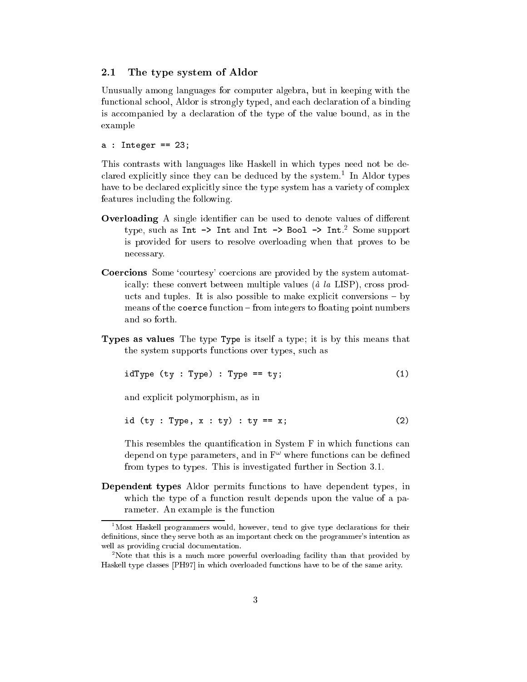#### $2.1$ The type system of Aldor

Unusually among languages for computer algebra, but in keeping with the functional school, Aldor is strongly typed, and each declaration of a binding is accompanied by a declaration of the type of the value bound, as in the example

 $a : Integer == 23;$ 

This contrasts with languages like Haskell in which types need not be declared explicitly since they can be deduced by the system.1 In Aldor types have to be declared explicitly since the type system has a variety of complex features including the following.

- **Overloading** A single identifier can be used to denote values of different type, such as Int -> Int and Int -> Bool -> Int. <sup>2</sup> Some support is provided for users to resolve overloading when that proves to be necessary.
- Coercions Some 'courtesy' coercions are provided by the system automatically: these convert between multiple values ( $\dot{a}$  la LISP), cross products and tuples. It is also possible to make explicit conversions  $-$  by  $means of the **coerce** function – from integers to floating point numbers$ and so forth.
- Types as values The type Type is itself a type; it is by this means that the system supports functions over types, such as

$$
idType (ty : Type) : Type == ty;
$$
 (1)

and explicit polymorphism, as in

$$
id (ty : Type, x : ty) : ty == x;
$$
 (2)

This resembles the quantication in System F in which functions can depend on type parameters, and in F! where functions can be dened from types to types. This is investigated further in Section 3.1.

Dependent types Aldor permits functions to have dependent types, in which the type of a function result depends upon the value of a parameter. An example is the function

<sup>&</sup>lt;sup>1</sup>Most Haskell programmers would, however, tend to give type declarations for their definitions, since they serve both as an important check on the programmer's intention as well as providing crucial documentation.

<sup>2</sup> Note that this is a much more powerful overloading facility than that provided by Haskell type classes [PH97] in which overloaded functions have to be of the same arity.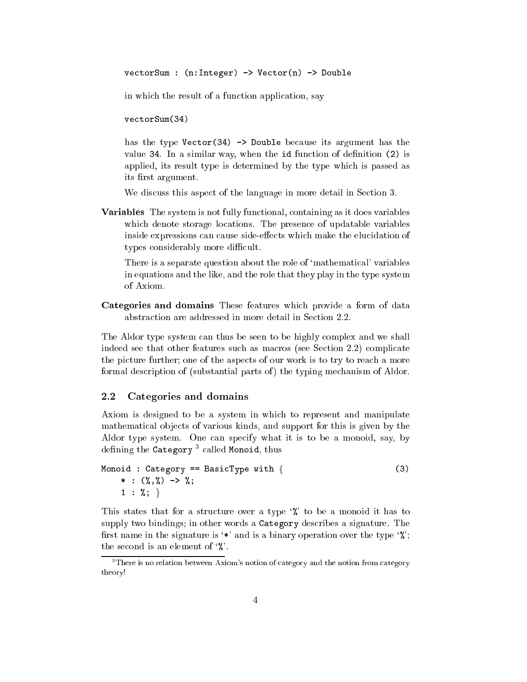vectorSum : (n:Integer) -> Vector(n) -> Double

in which the result of a function application, say

 $vectorSum(34)$  $\sim$  34)  $\sim$  34)  $\sim$  34)  $\sim$  34)  $\sim$  34)  $\sim$  34)  $\sim$  34)  $\sim$  34)  $\sim$  34)  $\sim$  34)  $\sim$  34)  $\sim$  34)  $\sim$  34)  $\sim$  34)  $\sim$  34)  $\sim$  34)  $\sim$  34)  $\sim$  34)  $\sim$  34)  $\sim$  34)  $\sim$  34)  $\sim$  34)  $\sim$  34)  $\sim$  34)  $\sim$ 

has the type  $Vector(34) \rightarrow Double because its argument has the$ value  $34$ . In a similar way, when the  $id$  function of definition  $(2)$  is applied, its result type is determined by the type which is passed as its first argument.

We discuss this aspect of the language in more detail in Section 3.

Variables The system is not fully functional, containing as it does variables which denote storage locations. The presence of updatable variables inside expressions can cause side-effects which make the elucidation of types considerably more difficult.

There is a separate question about the role of 'mathematical' variables in equations and the like, and the role that they play in the type system of Axiom.

Categories and domains These features which provide a form of data abstraction are addressed in more detail in Section 2.2.

The Aldor type system can thus be seen to be highly complex and we shall indeed see that other features such as macros (see Section 2.2) complicate the picture further; one of the aspects of our work is to try to reach a more formal description of (substantial parts of) the typing mechanism of Aldor.

#### $2.2$ Categories and domains

Axiom is designed to be a system in which to represent and manipulate mathematical objects of various kinds, and support for this is given by the Aldor type system. One can specify what it is to be a monoid, say, by denning the Category – called Monoid, thus

```
Monoid : Category == BasicType with \{ (3)
   * : (\%,\%) -> \%;
   1 : \%;
```
This states that for a structure over a type  $\mathcal{C}$  to be a monoid it has to supply two bindings; in other words a Category describes a signature. The first name in the signature is '\*' and is a binary operation over the type  $\mathcal{C}$ ; the second is an element of  $\mathcal{C}$ .

<sup>3</sup> There is no relation between Axiom's notion of category and the notion from category theory!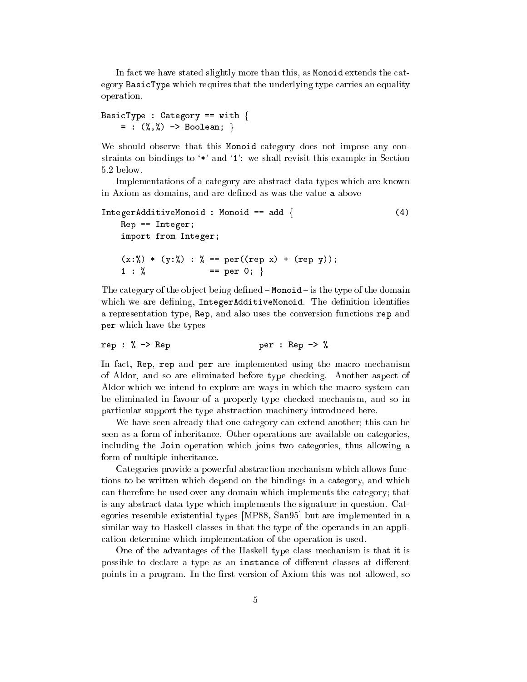In fact we have stated slightly more than this, as Monoid extends the category BasicType which requires that the underlying type carries an equality operation.

```
BasicType : Category == with \{= : (\%, \%) -> Boolean; }
```
We should observe that this Monoid category does not impose any constraints on bindings to '\*' and '1': we shall revisit this example in Section 5.2 below.

Implementations of a category are abstract data types which are known in Axiom as domains, and are defined as was the value a above

```
IntegerAdditiveMonoid : Monoid == add { (4)
   Rep == Integer;
   import from Integer;
   (x:\%) * (y:\%) : % == per((rep x) + (rep y));1 : \% == per 0; }
```
The category of the object being defined  $-$  Monoid  $-$  is the type of the domain which we are defining, IntegerAdditiveMonoid. The definition identifies a representation type, Rep, and also uses the conversion functions rep and per which have the types

rep :  $\%$  -> Rep per : Rep ->  $\%$ 

In fact, Rep, rep and per are implemented using the macro mechanism of Aldor, and so are eliminated before type checking. Another aspect of Aldor which we intend to explore are ways in which the macro system can be eliminated in favour of a properly type checked mechanism, and so in particular support the type abstraction machinery introduced here.

We have seen already that one category can extend another; this can be seen as a form of inheritance. Other operations are available on categories, including the Join operation which joins two categories, thus allowing a form of multiple inheritance.

Categories provide a powerful abstraction mechanism which allows functions to be written which depend on the bindings in a category, and which can therefore be used over any domain which implements the category; that is any abstract data type which implements the signature in question. Categories resemble existential types [MP88, San95] but are implemented in a similar way to Haskell classes in that the type of the operands in an application determine which implementation of the operation is used.

One of the advantages of the Haskell type class mechanism is that it is possible to declare a type as an instance of different classes at different points in a program. In the first version of Axiom this was not allowed, so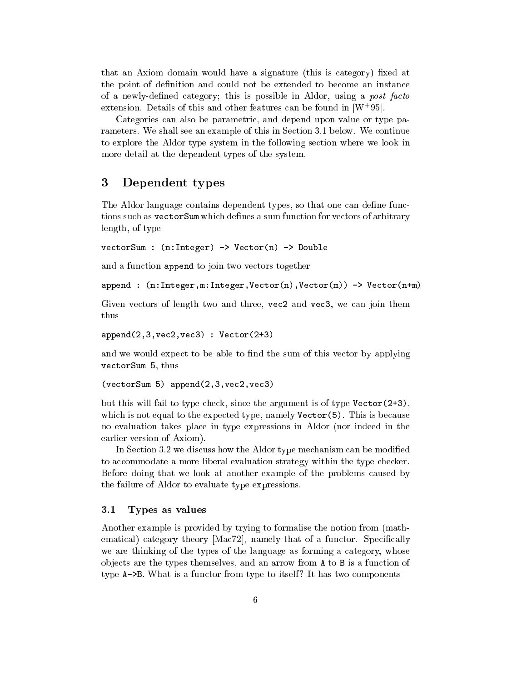that an Axiom domain would have a signature (this is category) fixed at the point of definition and could not be extended to become an instance of a newly-defined category; this is possible in Aldor, using a post facto extension. Details of this and other features can be found in [W+95].

Categories can also be parametric, and depend upon value or type parameters. We shall see an example of this in Section 3.1 below. We continue to explore the Aldor type system in the following section where we look in more detail at the dependent types of the system.

#### 3 Dependent types

The Aldor language contains dependent types, so that one can define functions such as vectorSum which defines a sum function for vectors of arbitrary length, of type

vectorSum : (n:Integer) -> Vector(n) -> Double

and a function append to join two vectors together

append :  $(n:Integer, m:Integer, Vector(n), Vector(m)) \rightarrow Vector(n+m)$ 

Given vectors of length two and three, vec2 and vec3, we can join them thus

```
append(2,3,vec2,vec3) : Vector(2+3)
```
and we would expect to be able to find the sum of this vector by applying vectorSum 5, thus

(vectorSum 5) append(2,3,vec2,vec3)

but this will fail to type check, since the argument is of type Vector(2+3), which is not equal to the expected type, namely  $\text{Vector}(5)$ . This is because no evaluation takes place in type expressions in Aldor (nor indeed in the earlier version of Axiom).

In Section 3.2 we discuss how the Aldor type mechanism can be modified to accommodate a more liberal evaluation strategy within the type checker. Before doing that we look at another example of the problems caused by the failure of Aldor to evaluate type expressions.

#### Types as values  $3.1$

Another example is provided by trying to formalise the notion from (mathematical) category theory [Mac72], namely that of a functor. Specifically we are thinking of the types of the language as forming a category, whose ob jects are the types themselves, and an arrow from A to B is a function of type A->B. What is a functor from type to itself? It has two components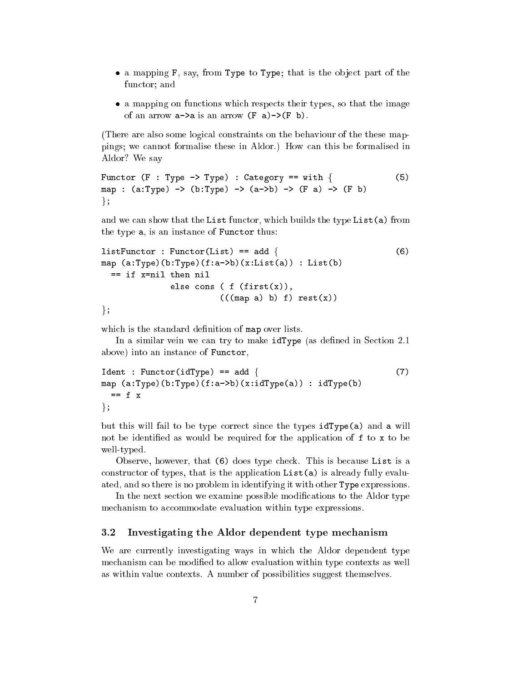- a mapping F, say, from Type to Type; that is the ob ject part of the functor; and
- a mapping on functions which respects the image  $\mathbf{r}$  the image the image the image of an arrow  $a \rightarrow a$  is an arrow  $(F \ a) \rightarrow (F \ b)$ .

(There are also some logical constraints on the behaviour of the these mappings; we cannot formalise these in Aldor.) How can this be formalised in Aldor? We say

```
Functor (F : Type \rightarrow Type) : Category == with {
                                                                                      (5)map : (a:Type) \rightarrow (b:Type) \rightarrow (a->b) \rightarrow (F a) \rightarrow (F b)\};
```
and we can show that the List functor, which builds the type List(a) from the type a, is an instance of Functor thus:

```
listFunction: Function(List) == add { (6)
map (a:Type)(b:Type)(f:a->b)(x:List(a)): List(b)
 == if x=nil then nil
            else cons ( f (first(x)),
                     (((map a) b) f) rest(x))\};
```
which is the standard definition of map over lists.

In a similar vein we can try to make idType (as defined in Section 2.1) above) into an instance of Functor,

```
Ident : Functor(idType) == add { (7)
map (a:Type)(b:Type)(f:a->b)(x:idType(a)) : idType(b)
 == f x\};
```
but this will fail to be type correct since the types idType(a) and a will not be identified as would be required for the application of f to x to be well-typed.

Observe, however, that (6) does type check. This is because List is a constructor of types, that is the application List(a) is already fully evaluated, and so there is no problem in identifying it with other Type expressions.

In the next section we examine possible modifications to the Aldor type mechanism to accommodate evaluation within type expressions.

### 3.2 Investigating the Aldor dependent type mechanism

We are currently investigating ways in which the Aldor dependent type mechanism can be modified to allow evaluation within type contexts as well as within value contexts. A number of possibilities suggest themselves.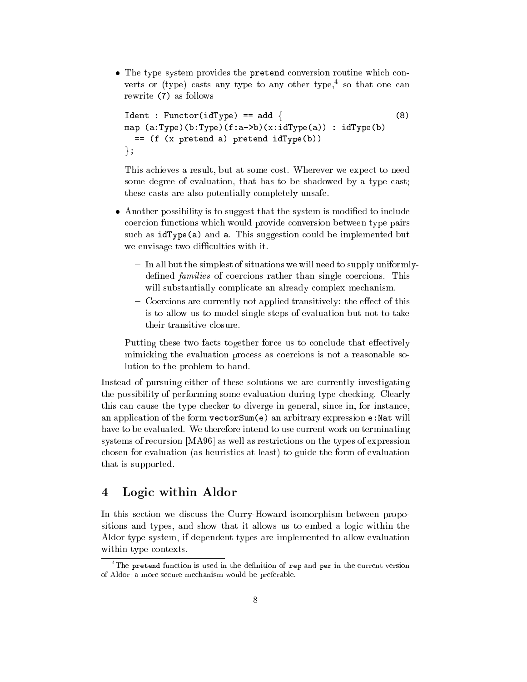The type system provides the pretend conversion routine which converts or (type) casts any type to any other type, so that one can rewrite (7) as follows

```
Ident : Functor(idType) == add {
                                                            (8)map (a:Type)(b:Type)(f:a\rightarrow b)(x:idType(a)): idType(b)= (f (x) pretend a) pretend idType(b))
\};
```
This achieves a result, but at some cost. Wherever we expect to need some degree of evaluation, that has to be shadowed by a type cast; these casts are also potentially completely unsafe.

- $\mathcal{A}$  . The statistic is to suggest that the system is modified to include the system is modified to include the system is model. coercion functions which would provide conversion between type pairs such as idType(a) and a. This suggestion could be implemented but we envisage two difficulties with it.
	- In all but the simplest of situations we will need to supply uniformlydefined *families* of coercions rather than single coercions. This will substantially complicate an already complex mechanism.
	- Coercions are currently not applied transitively: the effect of this is to allow us to model single steps of evaluation but not to take their transitive closure.

Putting these two facts together force us to conclude that effectively mimicking the evaluation process as coercions is not a reasonable solution to the problem to hand.

Instead of pursuing either of these solutions we are currently investigating the possibility of performing some evaluation during type checking. Clearly this can cause the type checker to diverge in general, since in, for instance, an application of the form vectorSum(e) an arbitrary expression e:Nat will have to be evaluated. We therefore intend to use current work on terminating systems of recursion [MA96] as well as restrictions on the types of expression chosen for evaluation (as heuristics at least) to guide the form of evaluation that is supported.

#### $\overline{\mathbf{4}}$ Logic within Aldor

In this section we discuss the Curry-Howard isomorphism between propositions and types, and show that it allows us to embed a logic within the Aldor type system, if dependent types are implemented to allow evaluation within type contexts.

The pretend function is used in the definition of rep and per in the current version  $\overline{\phantom{a}}$ of Aldor; a more secure mechanism would be preferable.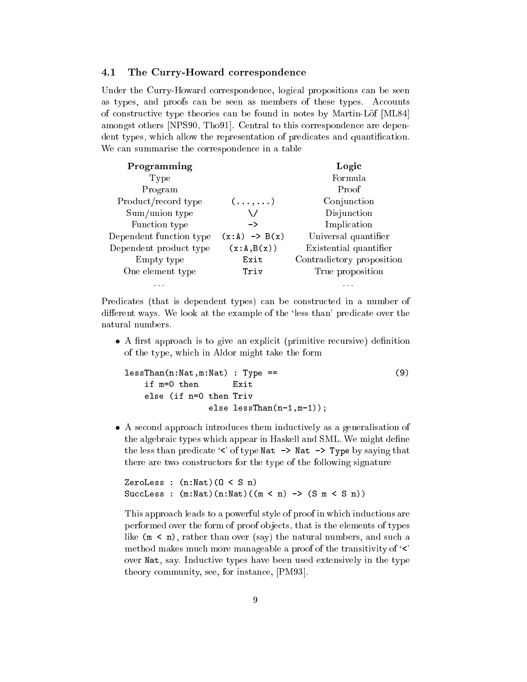#### The Curry-Howard correspondence  $4.1$

Under the Curry-Howard correspondence, logical propositions can be seen as types, and proofs can be seen as members of these types. Accounts of constructive type theories can be found in notes by Martin-Lof [ML84] amongst others [NPS90, Tho91]. Central to this correspondence are dependent types, which allow the representation of predicates and quantification. We can summarise the correspondence in a table

| Programming             |                          | Logic                     |
|-------------------------|--------------------------|---------------------------|
| Type                    |                          | Formula                   |
| Program                 |                          | Proof                     |
| Product/record type     | $(\ldots,\ldots)$        | Conjunction               |
| Sum/union type          |                          | Disjunction               |
| Function type           | ->                       | Implication               |
| Dependent function type | $(x:A) \rightarrow B(x)$ | Universal quantifier      |
| Dependent product type  | (x:A,B(x))               | Existential quantifier    |
| Empty type              | Exit                     | Contradictory proposition |
| One element type        | Triv                     | True proposition          |
| .                       |                          | .                         |

Predicates (that is dependent types) can be constructed in a number of different ways. We look at the example of the 'less than' predicate over the natural numbers.

 A rst approach is to give an explicit (primitive recursive) denition of the type, which in Aldor might take the form

```
lessThan(n:Nat,m:Nat) : Type == (9)
   if m=0 then Exit
   else (if n=0 then Triv
             else lessThan(n-1,m-1));
```
 A second approach introduces them inductively as a generalisation of the algebraic types which appear in Haskell and SML. We might define the less than predicate ' $\langle \cdot \rangle$  of type Nat -> Nat -> Type by saying that there are two constructors for the type of the following signature

```
ZeroLess : (n:Nat)(0 < S n)SuccLess : (m:Nat)(n:Nat)((m < n) \rightarrow (S m < S n))
```
This approach leads to a powerful style of proof in which inductions are performed over the form of proof objects, that is the elements of types like  $(m < n)$ , rather than over (say) the natural numbers, and such a method makes much more manageable a proof of the transitivity of  $\langle \cdot \rangle$ over Nat, say. Inductive types have been used extensively in the type theory community, see, for instance, [PM93].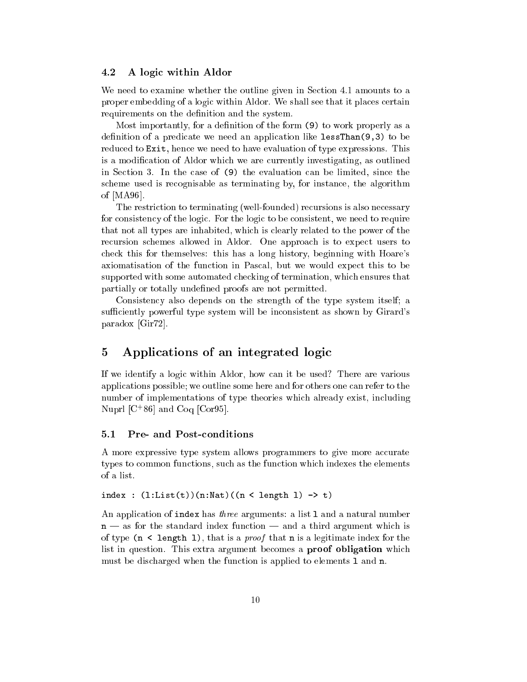#### 4.2 A logic within Aldor

We need to examine whether the outline given in Section 4.1 amounts to a proper embedding of a logic within Aldor. We shall see that it places certain requirements on the definition and the system.

Most importantly, for a definition of the form (9) to work properly as a definition of a predicate we need an application like  $lessThan(9,3)$  to be reduced to Exit, hence we need to have evaluation of type expressions. This is a modication of Aldor which we are currently investigating, as outlined in Section 3. In the case of (9) the evaluation can be limited, since the scheme used is recognisable as terminating by, for instance, the algorithm of [MA96].

The restriction to terminating (well-founded) recursions is also necessary for consistency of the logic. For the logic to be consistent, we need to require that not all types are inhabited, which is clearly related to the power of the recursion schemes allowed in Aldor. One approach is to expect users to check this for themselves: this has a long history, beginning with Hoare's axiomatisation of the function in Pascal, but we would expect this to be supported with some automated checking of termination, which ensures that partially or totally undefined proofs are not permitted.

Consistency also depends on the strength of the type system itself; a sufficiently powerful type system will be inconsistent as shown by Girard's paradox [Gir72].

# 5 Applications of an integrated logic

If we identify a logic within Aldor, how can it be used? There are various applications possible; we outline some here and for others one can refer to the number of implementations of type theories which already exist, including Nuprl [C<sup>+</sup> 86] and Coq [Cor95].

#### Pre- and Post-conditions  $5.1$

A more expressive type system allows programmers to give more accurate types to common functions, such as the function which indexes the elements

 $index : (1:List(t))(n:Nat)((n < length 1) \rightarrow t)$ 

An application of index has *three* arguments: a list 1 and a natural number  $n - as$  for the standard index function  $-$  and a third argument which is of type  $(n \leq \text{length } 1)$ , that is a *proof* that **n** is a legitimate index for the list in question. This extra argument becomes a proof obligation which must be discharged when the function is applied to elements l and n.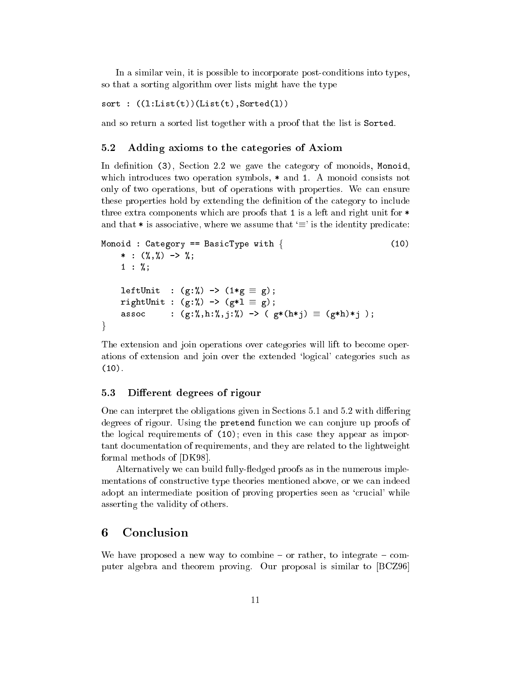In a similar vein, it is possible to incorporate post-conditions into types, so that a sorting algorithm over lists might have the type

sort :  $((1:List(t))(List(t),Sorted(1))$ 

and so return a sorted list together with a proof that the list is Sorted.

#### $5.2$ 5.2 Adding axioms to the categories of Axiom

In definition (3), Section 2.2 we gave the category of monoids, Monoid, which introduces two operation symbols,  $*$  and 1. A monoid consists not only of two operations, but of operations with properties. We can ensure these properties hold by extending the denition of the category to include three extra components which are proofs that 1 is a left and right unit for \* and that  $*$  is associative, where we assume that  $\equiv$  is the identity predicate:

```
Monoid : Category == BasicType with \{ (10)
      * : (\frac{9}{6}, \frac{9}{6}) -> \frac{9}{6};
     1 : \%;leftUnit : (g:\%) \rightarrow (1*g \equiv g);rightUnit : (g:\%) \rightarrow (g*1 \equiv g);assoc : (g:\%, h:\%, j:\%) \rightarrow (g*(h*1) \equiv (g*h)*1);general control of the control of
```
The extension and join operations over categories will lift to become operations of extension and join over the extended `logical' categories such as  $(10).$ 

### 5.3 Different degrees of rigour

One can interpret the obligations given in Sections  $5.1$  and  $5.2$  with differing degrees of rigour. Using the pretend function we can conjure up proofs of the logical requirements of (10); even in this case they appear as important documentation of requirements, and they are related to the lightweight formal methods of [DK98].

Alternatively we can build fully-fledged proofs as in the numerous implementations of constructive type theories mentioned above, or we can indeed adopt an intermediate position of proving properties seen as 'crucial' while asserting the validity of others.

#### **Conclusion** 6

We have proposed a new way to combine  $-$  or rather, to integrate  $-$  computer algebra and theorem proving. Our proposal is similar to [BCZ96]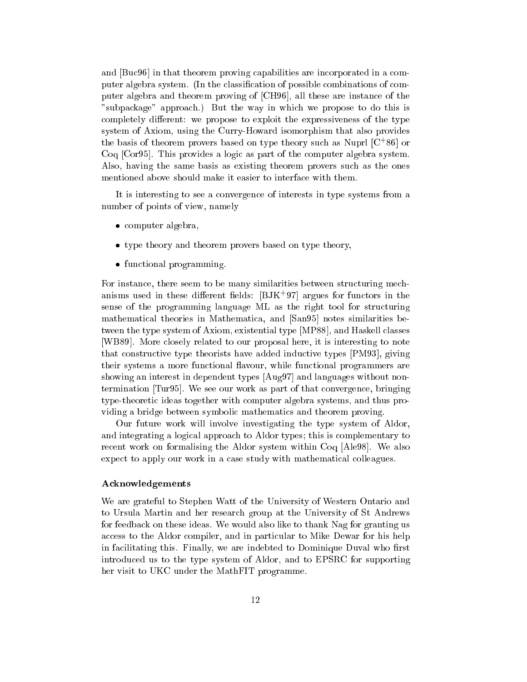and [Buc96] in that theorem proving capabilities are incorporated in a computer algebra system. (In the classication of possible combinations of computer algebra and theorem proving of [CH96], all these are instance of the "subpackage" approach.) But the way in which we propose to do this is completely different: we propose to exploit the expressiveness of the type system of Axiom, using the Curry-Howard isomorphism that also provides the basis of theorem provers based on type theory such as Nupri  $|C|$  of or Coq [Cor95]. This provides a logic as part of the computer algebra system. Also, having the same basis as existing theorem provers such as the ones mentioned above should make it easier to interface with them.

It is interesting to see a convergence of interests in type systems from a number of points of view, namely

- computer algebra, and all computers are all contracts and contracts are all contracts and contracts are all contracts and contracts are all contracts and contracts are all contracts and contracts are all contracts and cont
- type theory and theorem provers based on type theory,
- $f(x) = f(x)$  is a property of  $f(x)$

For instance, there seem to be many similarities between structuring mechanisms used in these different fields:  $|{\rm DJK}|\,$  97] argues for functors in the sense of the programming language ML as the right tool for structuring mathematical theories in Mathematica, and [San95] notes similarities between the type system of Axiom, existential type [MP88], and Haskell classes [WB89]. More closely related to our proposal here, it is interesting to note that constructive type theorists have added inductive types [PM93], giving their systems a more functional flavour, while functional programmers are showing an interest in dependent types [Aug97] and languages without nontermination [Tur95]. We see our work as part of that convergence, bringing type-theoretic ideas together with computer algebra systems, and thus providing a bridge between symbolic mathematics and theorem proving.

Our future work will involve investigating the type system of Aldor, and integrating a logical approach to Aldor types; this is complementary to recent work on formalising the Aldor system within Coq [Ale98]. We also expect to apply our work in a case study with mathematical colleagues.

### Acknowledgements

We are grateful to Stephen Watt of the University of Western Ontario and to Ursula Martin and her research group at the University of St Andrews for feedback on these ideas. We would also like to thank Nag for granting us access to the Aldor compiler, and in particular to Mike Dewar for his help in facilitating this. Finally, we are indebted to Dominique Duval who first introduced us to the type system of Aldor, and to EPSRC for supporting her visit to UKC under the MathFIT programme.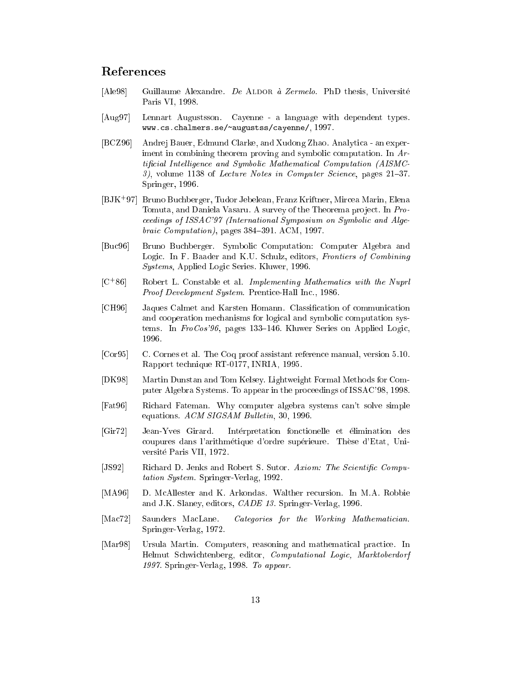## References

- [Ale98] Guillaume Alexandre. De ALDOR à Zermelo. PhD thesis, Université Paris VI, 1998.
- [Aug97] Lennart Augustsson. Cayenne a language with dependent types. www.cs.chalmers.se/ ~augustss/cayenne/, 1997.
- [BCZ96] Andrej Bauer, Edmund Clarke, and Xudong Zhao. Analytica an experiment in combining theorem proving and symbolic computation. In Artificial Intelligence and Symbolic Mathematical Computation (AISMC- $3$ , volume 1138 of *Lecture Notes in Computer Science*, pages  $21-37$ . Springer, 1996.
- [BJK+ 97] Bruno Buchberger, Tudor Jebelean, Franz Kriftner, Mircea Marin, Elena Tomuta, and Daniela Vasaru. A survey of the Theorema project. In Proceedings of ISSAC'97 (International Symposium on Symbolic and Algebraic Computation), pages  $384-391$ . ACM, 1997.
- [Buc96] Bruno Buchberger. Symbolic Computation: Computer Algebra and Logic. In F. Baader and K.U. Schulz, editors, Frontiers of Combining Systems, Applied Logic Series. Kluwer, 1996.
- $[C+86]$ Robert L. Constable et al. Implementing Mathematics with the Nuprl Proof Development System. Prentice-Hall Inc., 1986.
- [CH96] Jaques Calmet and Karsten Homann. Classication of communication and cooperation mechanisms for logical and symbolic computation systems. In  $FroCos'96$ , pages 133-146. Kluwer Series on Applied Logic, 1996.
- [Cor95] C. Cornes et al. The Coq proof assistant reference manual, version 5.10. Rapport technique RT-0177, INRIA, 1995.
- [DK98] Martin Dunstan and Tom Kelsey. Lightweight Formal Methods for Computer Algebra Systems. To appear in the proceedings of ISSAC'98, 1998.
- [Fat96] Richard Fateman. Why computer algebra systems can't solve simple equations.  $ACM$  SIGSAM Bulletin, 30, 1996.
- [Gir72] Jean-Yves Girard. Interpretation fonctionelle et elimination des coupures dans l'arithmetique d'ordre superieure. These d'Etat, Universite Paris VII, 1972.
- [JS92] Richard D. Jenks and Robert S. Sutor. Axiom: The Scientific Computation System. Springer-Verlag, 1992.
- [MA96] D. McAllester and K. Arkondas. Walther recursion. In M.A. Robbie and J.K. Slaney, editors, CADE 13. Springer-Verlag, 1996.
- [Mac72] Saunders MacLane. Categories for the Working Mathematician. Springer-Verlag, 1972.
- [Mar98] Ursula Martin. Computers, reasoning and mathematical practice. In Helmut Schwichtenberg, editor, Computational Logic, Marktoberdorf 1997. Springer-Verlag, 1998. To appear.